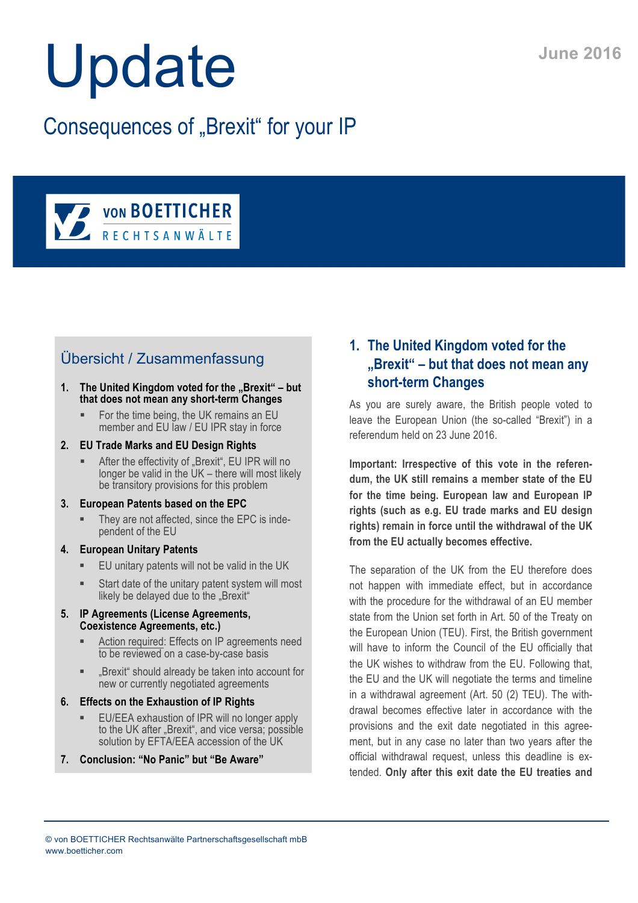# Update

## Consequences of "Brexit" for your IP



### Übersicht / Zusammenfassung

- 1. The United Kingdom voted for the "Brexit" but **that does not mean any short-term Changes**
	- For the time being, the UK remains an EU member and EU law / EU IPR stay in force
- **2. EU Trade Marks and EU Design Rights**
	- **EXECT** After the effectivity of "Brexit", EU IPR will no longer be valid in the UK – there will most likely be transitory provisions for this problem
- **3. European Patents based on the EPC**
	- They are not affected, since the EPC is independent of the EU
- **4. European Unitary Patents**
	- EU unitary patents will not be valid in the UK
	- ! Start date of the unitary patent system will most likely be delayed due to the "Brexit"
- **5. IP Agreements (License Agreements, Coexistence Agreements, etc.)**
	- Action required: Effects on IP agreements need to be reviewed on a case-by-case basis
	- ! "Brexit" should already be taken into account for new or currently negotiated agreements
- **6. Effects on the Exhaustion of IP Rights**
	- EU/EEA exhaustion of IPR will no longer apply to the UK after "Brexit", and vice versa; possible solution by EFTA/EEA accession of the UK
- **7. Conclusion: "No Panic" but "Be Aware"**

#### **1. The United Kingdom voted for the "Brexit" – but that does not mean any short-term Changes**

As you are surely aware, the British people voted to leave the European Union (the so-called "Brexit") in a referendum held on 23 June 2016.

**Important: Irrespective of this vote in the referendum, the UK still remains a member state of the EU for the time being. European law and European IP rights (such as e.g. EU trade marks and EU design rights) remain in force until the withdrawal of the UK from the EU actually becomes effective.**

The separation of the UK from the EU therefore does not happen with immediate effect, but in accordance with the procedure for the withdrawal of an EU member state from the Union set forth in Art. 50 of the Treaty on the European Union (TEU). First, the British government will have to inform the Council of the EU officially that the UK wishes to withdraw from the EU. Following that, the EU and the UK will negotiate the terms and timeline in a withdrawal agreement (Art. 50 (2) TEU). The withdrawal becomes effective later in accordance with the provisions and the exit date negotiated in this agreement, but in any case no later than two years after the official withdrawal request, unless this deadline is extended. **Only after this exit date the EU treaties and**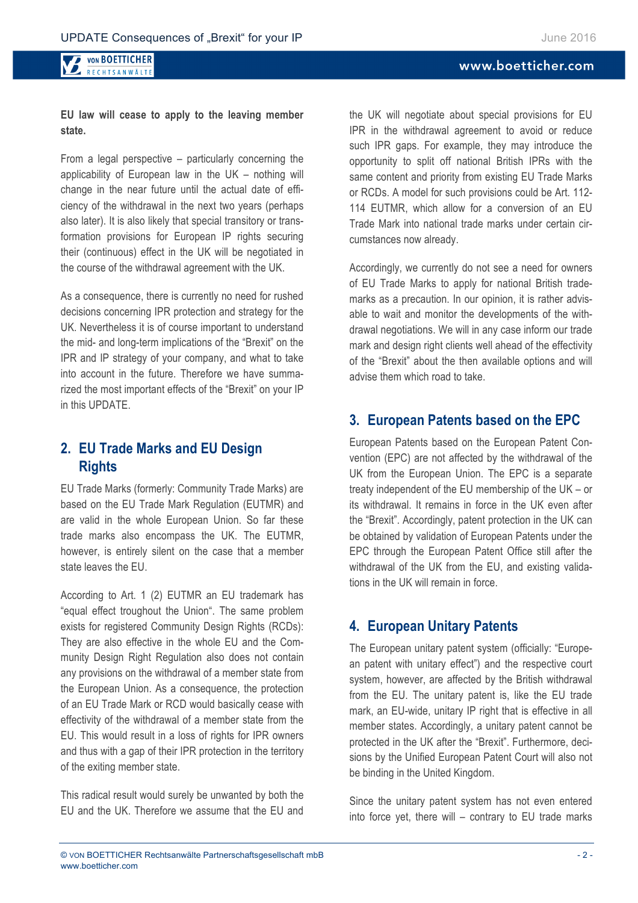#### www.boetticher.com

#### **VON BOETTICHER** RECHTSANWÄLTE

#### **EU law will cease to apply to the leaving member state.**

From a legal perspective – particularly concerning the applicability of European law in the UK – nothing will change in the near future until the actual date of efficiency of the withdrawal in the next two years (perhaps also later). It is also likely that special transitory or transformation provisions for European IP rights securing their (continuous) effect in the UK will be negotiated in the course of the withdrawal agreement with the UK.

As a consequence, there is currently no need for rushed decisions concerning IPR protection and strategy for the UK. Nevertheless it is of course important to understand the mid- and long-term implications of the "Brexit" on the IPR and IP strategy of your company, and what to take into account in the future. Therefore we have summarized the most important effects of the "Brexit" on your IP in this UPDATE.

#### **2. EU Trade Marks and EU Design Rights**

EU Trade Marks (formerly: Community Trade Marks) are based on the EU Trade Mark Regulation (EUTMR) and are valid in the whole European Union. So far these trade marks also encompass the UK. The EUTMR, however, is entirely silent on the case that a member state leaves the EU.

According to Art. 1 (2) EUTMR an EU trademark has "equal effect troughout the Union". The same problem exists for registered Community Design Rights (RCDs): They are also effective in the whole EU and the Community Design Right Regulation also does not contain any provisions on the withdrawal of a member state from the European Union. As a consequence, the protection of an EU Trade Mark or RCD would basically cease with effectivity of the withdrawal of a member state from the EU. This would result in a loss of rights for IPR owners and thus with a gap of their IPR protection in the territory of the exiting member state.

This radical result would surely be unwanted by both the EU and the UK. Therefore we assume that the EU and the UK will negotiate about special provisions for EU IPR in the withdrawal agreement to avoid or reduce such IPR gaps. For example, they may introduce the opportunity to split off national British IPRs with the same content and priority from existing EU Trade Marks or RCDs. A model for such provisions could be Art. 112- 114 EUTMR, which allow for a conversion of an EU Trade Mark into national trade marks under certain circumstances now already.

Accordingly, we currently do not see a need for owners of EU Trade Marks to apply for national British trademarks as a precaution. In our opinion, it is rather advisable to wait and monitor the developments of the withdrawal negotiations. We will in any case inform our trade mark and design right clients well ahead of the effectivity of the "Brexit" about the then available options and will advise them which road to take.

#### **3. European Patents based on the EPC**

European Patents based on the European Patent Convention (EPC) are not affected by the withdrawal of the UK from the European Union. The EPC is a separate treaty independent of the EU membership of the UK – or its withdrawal. It remains in force in the UK even after the "Brexit". Accordingly, patent protection in the UK can be obtained by validation of European Patents under the EPC through the European Patent Office still after the withdrawal of the UK from the EU, and existing validations in the UK will remain in force.

#### **4. European Unitary Patents**

The European unitary patent system (officially: "European patent with unitary effect") and the respective court system, however, are affected by the British withdrawal from the EU. The unitary patent is, like the EU trade mark, an EU-wide, unitary IP right that is effective in all member states. Accordingly, a unitary patent cannot be protected in the UK after the "Brexit". Furthermore, decisions by the Unified European Patent Court will also not be binding in the United Kingdom.

Since the unitary patent system has not even entered into force yet, there will – contrary to EU trade marks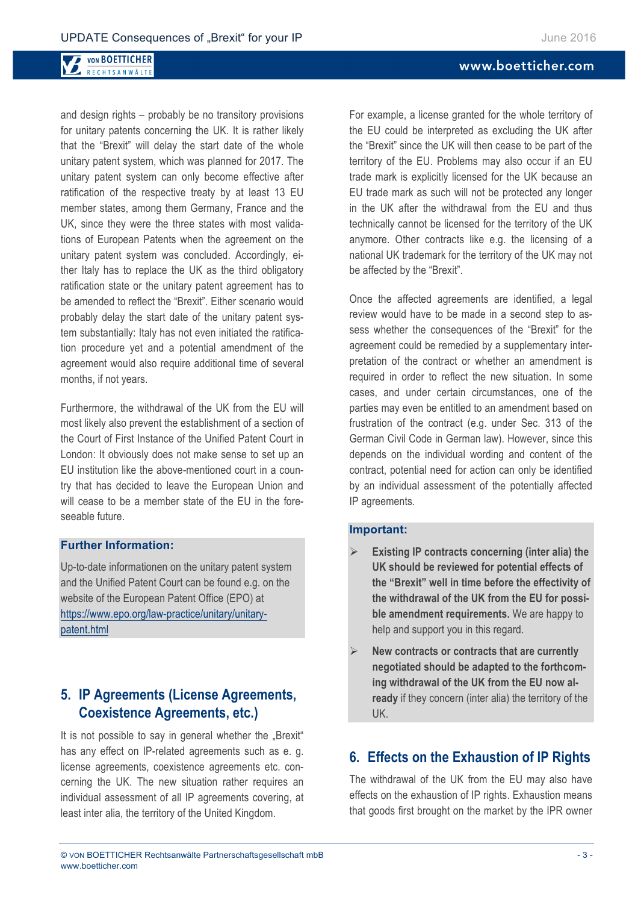#### **VON BOETTICHER** RECHTSANWÄLTE

and design rights – probably be no transitory provisions for unitary patents concerning the UK. It is rather likely that the "Brexit" will delay the start date of the whole unitary patent system, which was planned for 2017. The unitary patent system can only become effective after ratification of the respective treaty by at least 13 EU member states, among them Germany, France and the UK, since they were the three states with most validations of European Patents when the agreement on the unitary patent system was concluded. Accordingly, either Italy has to replace the UK as the third obligatory ratification state or the unitary patent agreement has to be amended to reflect the "Brexit". Either scenario would probably delay the start date of the unitary patent system substantially: Italy has not even initiated the ratification procedure yet and a potential amendment of the agreement would also require additional time of several months, if not years.

Furthermore, the withdrawal of the UK from the EU will most likely also prevent the establishment of a section of the Court of First Instance of the Unified Patent Court in London: It obviously does not make sense to set up an EU institution like the above-mentioned court in a country that has decided to leave the European Union and will cease to be a member state of the EU in the foreseeable future.

#### **Further Information:**

Up-to-date informationen on the unitary patent system and the Unified Patent Court can be found e.g. on the website of the European Patent Office (EPO) at https://www.epo.org/law-practice/unitary/unitarypatent.html

#### **5. IP Agreements (License Agreements, Coexistence Agreements, etc.)**

It is not possible to say in general whether the "Brexit" has any effect on IP-related agreements such as e. g. license agreements, coexistence agreements etc. concerning the UK. The new situation rather requires an individual assessment of all IP agreements covering, at least inter alia, the territory of the United Kingdom.

#### For example, a license granted for the whole territory of the EU could be interpreted as excluding the UK after the "Brexit" since the UK will then cease to be part of the territory of the EU. Problems may also occur if an EU trade mark is explicitly licensed for the UK because an EU trade mark as such will not be protected any longer in the UK after the withdrawal from the EU and thus technically cannot be licensed for the territory of the UK anymore. Other contracts like e.g. the licensing of a national UK trademark for the territory of the UK may not be affected by the "Brexit".

Once the affected agreements are identified, a legal review would have to be made in a second step to assess whether the consequences of the "Brexit" for the agreement could be remedied by a supplementary interpretation of the contract or whether an amendment is required in order to reflect the new situation. In some cases, and under certain circumstances, one of the parties may even be entitled to an amendment based on frustration of the contract (e.g. under Sec. 313 of the German Civil Code in German law). However, since this depends on the individual wording and content of the contract, potential need for action can only be identified by an individual assessment of the potentially affected IP agreements.

#### **Important:**

- Existing IP contracts concerning (inter alia) the **UK should be reviewed for potential effects of the "Brexit" well in time before the effectivity of the withdrawal of the UK from the EU for possible amendment requirements.** We are happy to help and support you in this regard.
- " **New contracts or contracts that are currently negotiated should be adapted to the forthcoming withdrawal of the UK from the EU now already** if they concern (inter alia) the territory of the UK.

#### **6. Effects on the Exhaustion of IP Rights**

The withdrawal of the UK from the EU may also have effects on the exhaustion of IP rights. Exhaustion means that goods first brought on the market by the IPR owner

www.boetticher.com